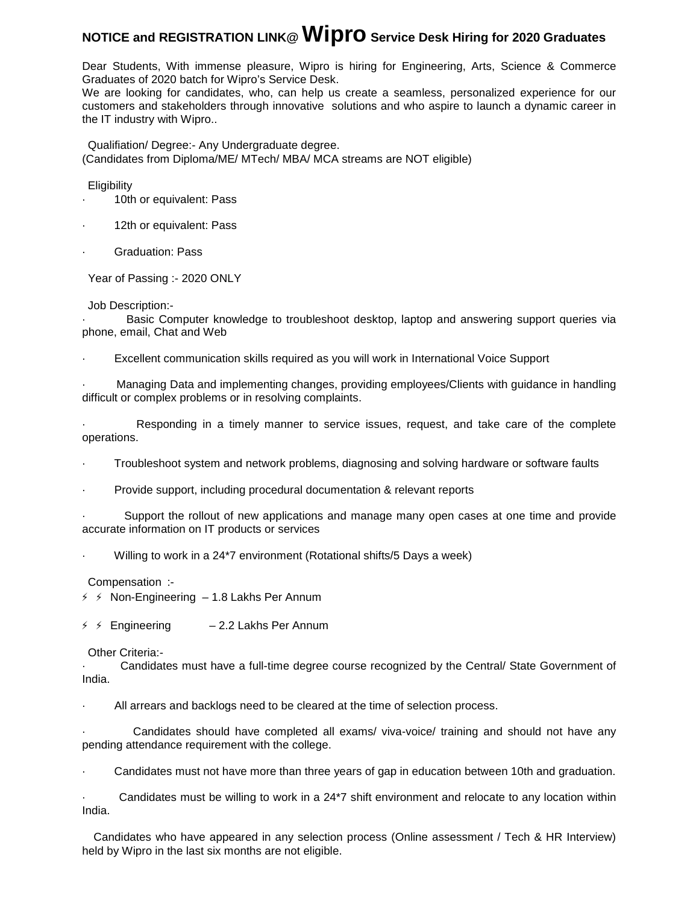# **NOTICE and REGISTRATION LINK@ Wipro Service Desk Hiring for 2020 Graduates**

Dear Students, With immense pleasure, Wipro is hiring for Engineering, Arts, Science & Commerce Graduates of 2020 batch for Wipro's Service Desk.

We are looking for candidates, who, can help us create a seamless, personalized experience for our customers and stakeholders through innovative solutions and who aspire to launch a dynamic career in the IT industry with Wipro..

Qualifiation/ Degree:- Any Undergraduate degree. (Candidates from Diploma/ME/ MTech/ MBA/ MCA streams are NOT eligible)

**Eligibility** 

- 10th or equivalent: Pass
- 12th or equivalent: Pass
- Graduation: Pass

Year of Passing :- 2020 ONLY

## Job Description:-

· Basic Computer knowledge to troubleshoot desktop, laptop and answering support queries via phone, email, Chat and Web

Excellent communication skills required as you will work in International Voice Support

· Managing Data and implementing changes, providing employees/Clients with guidance in handling difficult or complex problems or in resolving complaints.

Responding in a timely manner to service issues, request, and take care of the complete operations.

· Troubleshoot system and network problems, diagnosing and solving hardware or software faults

Provide support, including procedural documentation & relevant reports

Support the rollout of new applications and manage many open cases at one time and provide accurate information on IT products or services

Willing to work in a 24\*7 environment (Rotational shifts/5 Days a week)

Compensation :-

 $\frac{3}{7}$   $\div$  Non-Engineering - 1.8 Lakhs Per Annum

 $\frac{3}{7}$   $\frac{4}{7}$  Engineering – 2.2 Lakhs Per Annum

## Other Criteria:-

· Candidates must have a full-time degree course recognized by the Central/ State Government of India.

All arrears and backlogs need to be cleared at the time of selection process.

· Candidates should have completed all exams/ viva-voice/ training and should not have any pending attendance requirement with the college.

· Candidates must not have more than three years of gap in education between 10th and graduation.

Candidates must be willing to work in a 24<sup>\*7</sup> shift environment and relocate to any location within India.

Candidates who have appeared in any selection process (Online assessment / Tech & HR Interview) held by Wipro in the last six months are not eligible.